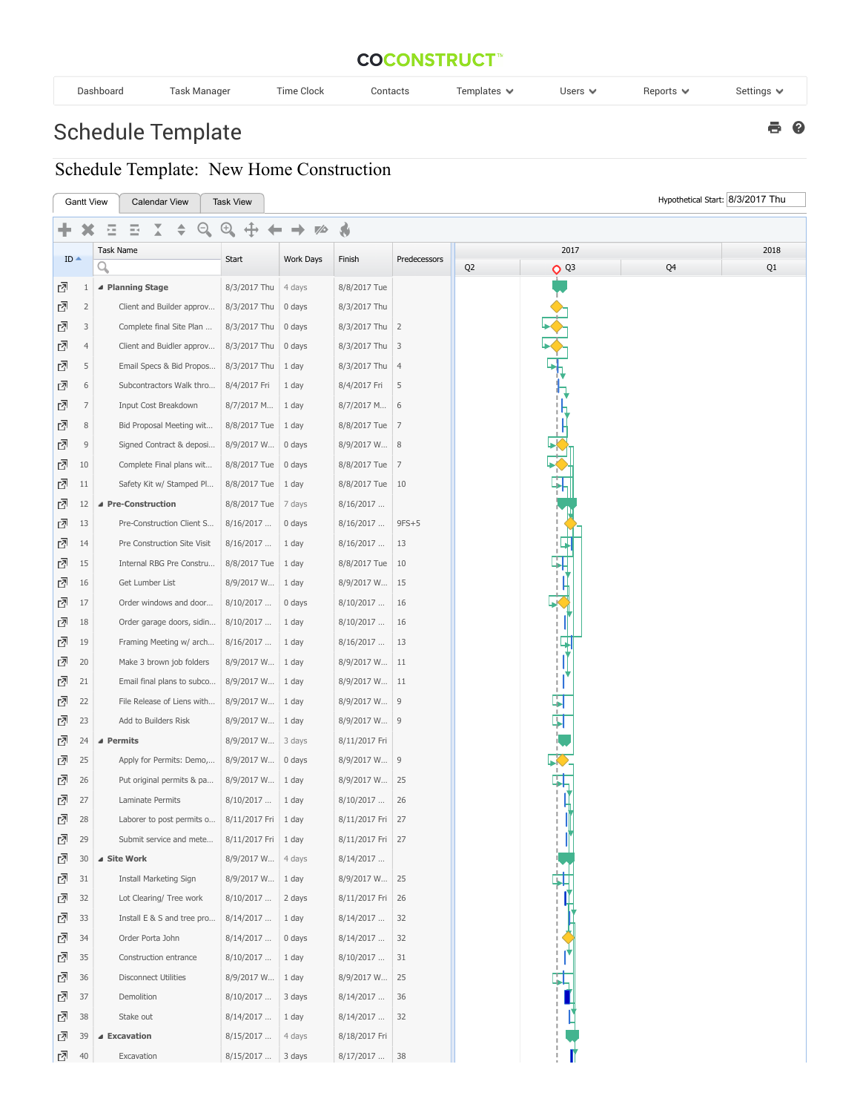## **COCONSTRUCT**

| Dashboard | ʿask Manaɑer | $-1$<br>Clock<br><b>Time</b> | Contacts | $\overline{\phantom{0}}$<br>Templates $\blacktriangledown$ | Users $\blacktriangledown$ | Reports $\vee$ | Settings * |
|-----------|--------------|------------------------------|----------|------------------------------------------------------------|----------------------------|----------------|------------|
|           |              |                              |          |                                                            |                            |                |            |

 $e$ 

## Schedule Template

## Schedule Template: New Home Construction

|                                       | Hypothetical Start: 8/3/2017 Thu<br><b>Gantt View</b><br><b>Calendar View</b><br><b>Task View</b> |                             |                       |           |                  |              |                |          |    |    |
|---------------------------------------|---------------------------------------------------------------------------------------------------|-----------------------------|-----------------------|-----------|------------------|--------------|----------------|----------|----|----|
| $\bullet$<br>$^{(+)}$<br>G<br>70<br>Ξ |                                                                                                   |                             |                       |           |                  |              |                |          |    |    |
|                                       |                                                                                                   | Task Name                   | 2017                  |           |                  |              | 2018           |          |    |    |
| $ID -$                                |                                                                                                   | Q                           | Start                 | Work Days | Finish           | Predecessors | Q <sub>2</sub> | $Q^{Q3}$ | Q4 | Q1 |
| 囨                                     | $\mathbf{1}$                                                                                      | ▲ Planning Stage            | 8/3/2017 Thu          | 4 days    | 8/8/2017 Tue     |              |                |          |    |    |
| 囨                                     | $\overline{2}$                                                                                    | Client and Builder approv   | 8/3/2017 Thu          | 0 days    | 8/3/2017 Thu     |              |                |          |    |    |
| ₫                                     | 3                                                                                                 | Complete final Site Plan    | 8/3/2017 Thu          | 0 days    | 8/3/2017 Thu 2   |              |                |          |    |    |
| ₫                                     | $\overline{4}$                                                                                    | Client and Buidler approv   | 8/3/2017 Thu          | 0 days    | 8/3/2017 Thu 3   |              |                |          |    |    |
| ₫                                     | 5                                                                                                 | Email Specs & Bid Propos    | 8/3/2017 Thu          | 1 day     | 8/3/2017 Thu 4   |              |                |          |    |    |
| ⊡                                     | 6                                                                                                 | Subcontractors Walk thro    | 8/4/2017 Fri          | 1 day     | 8/4/2017 Fri     | 5            |                |          |    |    |
| ₫                                     | $\overline{7}$                                                                                    | Input Cost Breakdown        | 8/7/2017 M            | 1 day     | $8/7/2017$ M 6   |              |                |          |    |    |
| ⊡                                     | $\,8\,$                                                                                           | Bid Proposal Meeting wit    | 8/8/2017 Tue   1 day  |           | 8/8/2017 Tue 7   |              |                |          |    |    |
| 囨                                     | $\mathsf 9$                                                                                       | Signed Contract & deposi    | 8/9/2017 W            | 0 days    | 8/9/2017 W 8     |              |                |          |    |    |
| 囨                                     | 10                                                                                                | Complete Final plans wit    | 8/8/2017 Tue          | 0 days    | 8/8/2017 Tue 7   |              |                |          |    |    |
| 囨                                     | 11                                                                                                | Safety Kit w/ Stamped Pl    | 8/8/2017 Tue   1 day  |           | 8/8/2017 Tue 10  |              |                |          |    |    |
| 囨                                     | 12                                                                                                | ▲ Pre-Construction          | 8/8/2017 Tue          | 7 days    | 8/16/2017        |              |                |          |    |    |
| 囨                                     | 13                                                                                                | Pre-Construction Client S   | 8/16/2017             | 0 days    | 8/16/2017        | $9FS+5$      |                |          |    |    |
| 囨                                     | 14                                                                                                | Pre Construction Site Visit | 8/16/2017             | 1 day     | 8/16/2017        | 13           |                |          |    |    |
| 囨                                     | 15                                                                                                | Internal RBG Pre Constru    | 8/8/2017 Tue          | 1 day     | 8/8/2017 Tue 10  |              |                |          |    |    |
| 囨                                     | 16                                                                                                | Get Lumber List             | 8/9/2017 W            | 1 day     | 8/9/2017 W       | 15           |                |          |    |    |
| 囨                                     | 17                                                                                                | Order windows and door      | 8/10/2017             | 0 days    | 8/10/2017        | 16           |                |          |    |    |
| 囨                                     | 18                                                                                                | Order garage doors, sidin   | 8/10/2017             | 1 day     | 8/10/2017        | 16           |                |          |    |    |
| 囨                                     | 19                                                                                                | Framing Meeting w/ arch     | 8/16/2017             | 1 day     | 8/16/2017        | 13           |                |          |    |    |
| 囨                                     | 20                                                                                                | Make 3 brown job folders    | 8/9/2017 W            | 1 day     | 8/9/2017 W 11    |              |                |          |    |    |
| 囨                                     | 21                                                                                                | Email final plans to subco  | 8/9/2017 W            | 1 day     | 8/9/2017 W 11    |              |                |          |    |    |
| ᇈ                                     | 22                                                                                                | File Release of Liens with  | 8/9/2017 W            | 1 day     | 8/9/2017 W 9     |              |                |          |    |    |
| ₫                                     | 23                                                                                                | Add to Builders Risk        | 8/9/2017 W            | 1 day     | 8/9/2017 W 9     |              |                | म<br>म   |    |    |
| ₫                                     | 24                                                                                                | ▲ Permits                   | 8/9/2017 W            | 3 days    | 8/11/2017 Fri    |              |                |          |    |    |
| 囨                                     | 25                                                                                                | Apply for Permits: Demo,    | 8/9/2017 W            | 0 days    | 8/9/2017 W 9     |              |                |          |    |    |
| ₫                                     | 26                                                                                                | Put original permits & pa   | 8/9/2017 W            | 1 day     | 8/9/2017 W       | 25           |                |          |    |    |
| ⊡                                     | 27                                                                                                | Laminate Permits            | 8/10/2017             | 1 day     | 8/10/2017        | 26           |                |          |    |    |
| 囨                                     | 28                                                                                                | Laborer to post permits o   | 8/11/2017 Fri         | 1 day     | 8/11/2017 Fri 27 |              |                |          |    |    |
| ⊡                                     | 29                                                                                                | Submit service and mete     | 8/11/2017 Fri   1 day |           | 8/11/2017 Fri 27 |              |                |          |    |    |
| 囨                                     | 30                                                                                                | ▲ Site Work                 | 8/9/2017 W            | 4 days    | 8/14/2017        |              |                |          |    |    |
| ⊡                                     | 31                                                                                                | Install Marketing Sign      | 8/9/2017 W            | 1 day     | 8/9/2017 W 25    |              |                |          |    |    |
| 囨                                     | 32                                                                                                | Lot Clearing/ Tree work     | 8/10/2017             | 2 days    | 8/11/2017 Fri 26 |              |                |          |    |    |
| ⊡                                     | 33                                                                                                | Install E & S and tree pro  | 8/14/2017             | 1 day     | 8/14/2017        | 32           |                |          |    |    |
| ⊡                                     | 34                                                                                                | Order Porta John            | 8/14/2017             | 0 days    | 8/14/2017        | 32           |                |          |    |    |
| 囨                                     | 35                                                                                                | Construction entrance       | 8/10/2017             | 1 day     | 8/10/2017        | 31           |                |          |    |    |
| 囨                                     | 36                                                                                                | <b>Disconnect Utilities</b> | 8/9/2017 W            | 1 day     | 8/9/2017 W 25    |              |                |          |    |    |
| ₫                                     | 37                                                                                                | Demolition                  | 8/10/2017             | 3 days    | 8/14/2017        | 36           |                |          |    |    |
| 囨                                     | 38                                                                                                | Stake out                   | 8/14/2017             | 1 day     | 8/14/2017        | 32           |                |          |    |    |
| 囨                                     | 39                                                                                                | ▲ Excavation                | 8/15/2017             | 4 days    | 8/18/2017 Fri    |              |                |          |    |    |
| 囨                                     | 40                                                                                                | Excavation                  | 8/15/2017             | 3 days    | 8/17/2017        | 38           |                |          |    |    |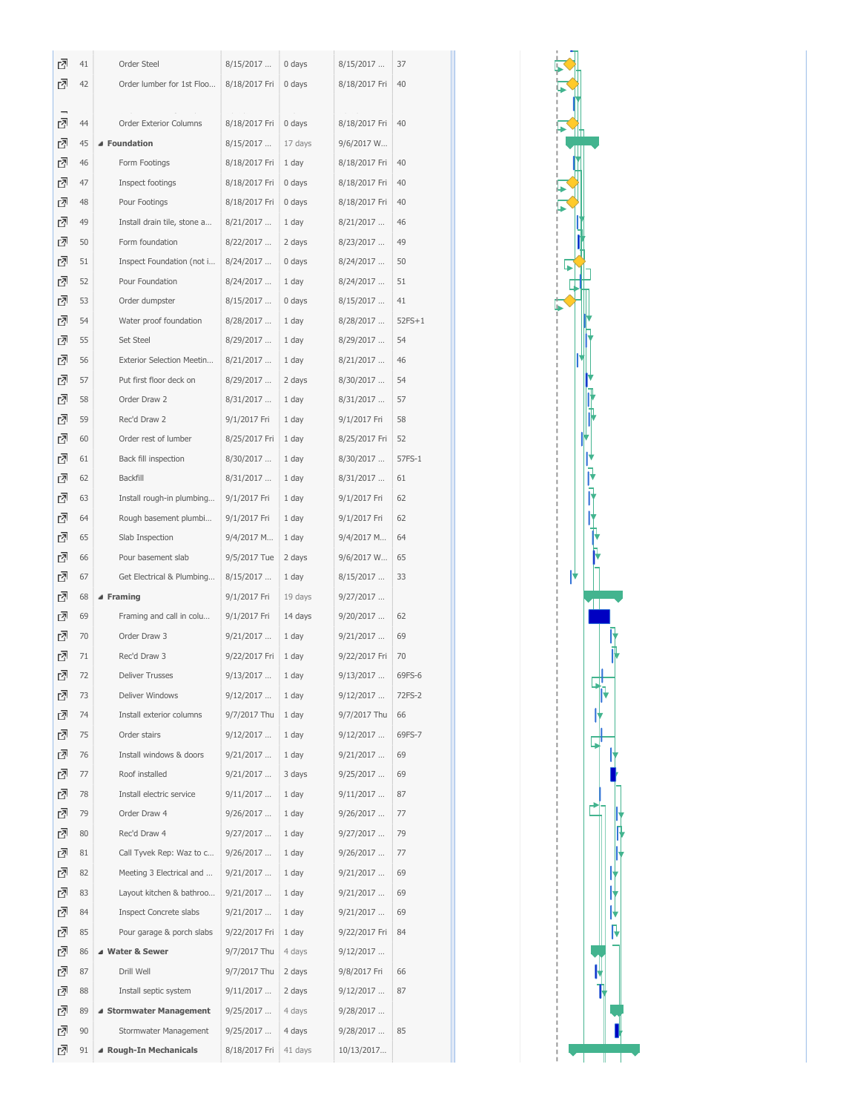| ₫ | 41 | Order Steel                   | 8/15/2017     | 0 days  | 8/15/2017     | 37       |
|---|----|-------------------------------|---------------|---------|---------------|----------|
| 囨 | 42 | Order lumber for 1st Floo     | 8/18/2017 Fri | 0 days  | 8/18/2017 Fri | 40       |
|   |    |                               |               |         |               |          |
| 囨 | 44 | Order Exterior Columns        | 8/18/2017 Fri | 0 days  | 8/18/2017 Fri | 40       |
| 囨 | 45 | ▲ Foundation                  | 8/15/2017     | 17 days | 9/6/2017 W    |          |
| 囨 | 46 | Form Footings                 | 8/18/2017 Fri | 1 day   | 8/18/2017 Fri | 40       |
| 囨 | 47 | Inspect footings              | 8/18/2017 Fri | 0 days  | 8/18/2017 Fri | 40       |
| 囨 | 48 | Pour Footings                 | 8/18/2017 Fri | 0 days  | 8/18/2017 Fri | 40       |
| 囨 | 49 | Install drain tile, stone a   | 8/21/2017     | 1 day   | 8/21/2017     | 46       |
| 囨 | 50 | Form foundation               | 8/22/2017     | 2 days  | 8/23/2017     | 49       |
| 囨 | 51 | Inspect Foundation (not i     | 8/24/2017     | 0 days  | 8/24/2017     | 50       |
| 囨 | 52 | Pour Foundation               | 8/24/2017     | 1 day   | 8/24/2017     | 51       |
| 囨 | 53 | Order dumpster                | 8/15/2017     | 0 days  | 8/15/2017     | 41       |
| 囨 | 54 | Water proof foundation        | 8/28/2017     | 1 day   | 8/28/2017     | $52FS+1$ |
| 囨 | 55 | Set Steel                     | 8/29/2017     | 1 day   | 8/29/2017     | 54       |
| 囨 | 56 | Exterior Selection Meetin     | 8/21/2017     | 1 day   | 8/21/2017     | 46       |
| 囨 | 57 | Put first floor deck on       | 8/29/2017     | 2 days  | 8/30/2017     | 54       |
| 囨 | 58 | Order Draw 2                  | 8/31/2017     | 1 day   | 8/31/2017     | 57       |
| 囨 | 59 | Rec'd Draw 2                  | 9/1/2017 Fri  | 1 day   | 9/1/2017 Fri  | 58       |
| 囨 | 60 | Order rest of lumber          | 8/25/2017 Fri | 1 day   | 8/25/2017 Fri | 52       |
| 囨 | 61 | Back fill inspection          | 8/30/2017     | 1 day   | 8/30/2017     | 57FS-1   |
| ₫ | 62 | Backfill                      | 8/31/2017     | 1 day   | 8/31/2017     | 61       |
| 囨 | 63 | Install rough-in plumbing     | 9/1/2017 Fri  | 1 day   | 9/1/2017 Fri  | 62       |
| 囨 | 64 | Rough basement plumbi         | 9/1/2017 Fri  | 1 day   | 9/1/2017 Fri  | 62       |
| 囨 | 65 | Slab Inspection               | 9/4/2017 M    | 1 day   | 9/4/2017 M    | 64       |
| 囨 | 66 | Pour basement slab            | 9/5/2017 Tue  | 2 days  | 9/6/2017 W    | 65       |
| 囨 | 67 | Get Electrical & Plumbing     | 8/15/2017     | 1 day   | 8/15/2017     | 33       |
| 囨 | 68 | ▲ Framing                     | 9/1/2017 Fri  | 19 days | 9/27/2017     |          |
| 囨 | 69 | Framing and call in colu      | 9/1/2017 Fri  | 14 days | 9/20/2017     | 62       |
| 囨 | 70 | Order Draw 3                  | 9/21/2017     | 1 day   | 9/21/2017     | 69       |
| 囨 | 71 | Rec'd Draw 3                  | 9/22/2017 Fri | 1 day   | 9/22/2017 Fri | 70       |
| 囨 | 72 | Deliver Trusses               | 9/13/2017     | 1 day   | 9/13/2017     | 69FS-6   |
| 囨 | 73 | Deliver Windows               | 9/12/2017     | 1 day   | 9/12/2017     | 72FS-2   |
| 囨 | 74 | Install exterior columns      | 9/7/2017 Thu  | 1 day   | 9/7/2017 Thu  | 66       |
| ₫ | 75 | Order stairs                  | 9/12/2017     | 1 day   | 9/12/2017     | 69FS-7   |
| ₫ | 76 | Install windows & doors       | 9/21/2017     | 1 day   | 9/21/2017     | 69       |
| ₫ | 77 | Roof installed                | 9/21/2017     | 3 days  | 9/25/2017     | 69       |
| 囨 | 78 | Install electric service      | 9/11/2017     | 1 day   | 9/11/2017     | 87       |
| ₫ | 79 | Order Draw 4                  | 9/26/2017     | 1 day   | 9/26/2017     | 77       |
| ₫ | 80 | Rec'd Draw 4                  | 9/27/2017     | 1 day   | 9/27/2017     | 79       |
| ₫ | 81 | Call Tyvek Rep: Waz to c      | 9/26/2017     | 1 day   | 9/26/2017     | 77       |
| 囨 | 82 | Meeting 3 Electrical and      | 9/21/2017     | 1 day   | 9/21/2017     | 69       |
| ₫ | 83 | Layout kitchen & bathroo      | 9/21/2017     | 1 day   | 9/21/2017     | 69       |
| 囨 | 84 | <b>Inspect Concrete slabs</b> | 9/21/2017     | 1 day   | 9/21/2017     | 69       |
| ₫ | 85 | Pour garage & porch slabs     | 9/22/2017 Fri | 1 day   | 9/22/2017 Fri | 84       |
| ₫ | 86 | ▲ Water & Sewer               | 9/7/2017 Thu  | 4 days  | 9/12/2017     |          |
| ₫ | 87 | Drill Well                    | 9/7/2017 Thu  | 2 days  | 9/8/2017 Fri  | 66       |
| 囨 | 88 | Install septic system         | 9/11/2017     | 2 days  | 9/12/2017     | 87       |
| ₫ | 89 | ▲ Stormwater Management       | 9/25/2017     | 4 days  | 9/28/2017     |          |
| 囨 | 90 | Stormwater Management         | 9/25/2017     | 4 days  | 9/28/2017     | 85       |
| ₫ | 91 | ▲ Rough-In Mechanicals        | 8/18/2017 Fri | 41 days | 10/13/2017    |          |

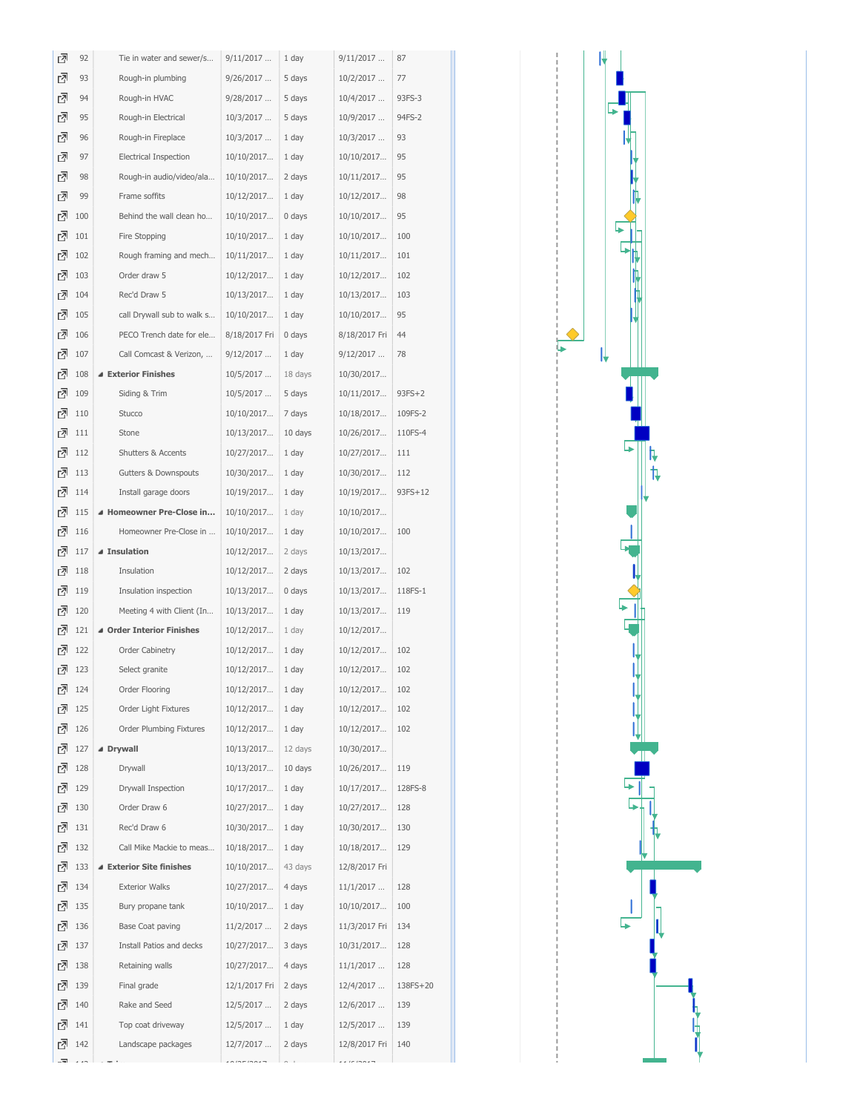| 囨      | 92         | Tie in water and sewer/s          | 9/11/2017                | 1 day          | 9/11/2017                | 87       |
|--------|------------|-----------------------------------|--------------------------|----------------|--------------------------|----------|
| 囨      | 93         | Rough-in plumbing                 | 9/26/2017                | 5 days         | 10/2/2017                | 77       |
| ᇗ      | 94         | Rough-in HVAC                     | 9/28/2017                | 5 days         | 10/4/2017                | 93FS-3   |
| 囨      | 95         | Rough-in Electrical               | 10/3/2017                | 5 days         | 10/9/2017                | 94FS-2   |
| ᇗ      | 96         | Rough-in Fireplace                | 10/3/2017                | 1 day          | 10/3/2017                | 93       |
| ⊡      | 97         | <b>Electrical Inspection</b>      | 10/10/2017               | 1 day          | 10/10/2017               | 95       |
| 囨      | 98         | Rough-in audio/video/ala          | 10/10/2017               | 2 days         | 10/11/2017               | 95       |
| 囨      | 99         | Frame soffits                     | 10/12/2017               | 1 day          | 10/12/2017               | 98       |
| ₫      | 100        | Behind the wall clean ho          | 10/10/2017               | 0 days         | 10/10/2017               | 95       |
| 囨      | 101        | Fire Stopping                     | 10/10/2017               | 1 day          | 10/10/2017               | 100      |
| ᇗ      | 102        | Rough framing and mech            | 10/11/2017               | 1 day          | 10/11/2017               | 101      |
| 囨      | 103        | Order draw 5                      | 10/12/2017               | 1 day          | 10/12/2017               | 102      |
| 囨      | 104        | Rec'd Draw 5                      | 10/13/2017               | 1 day          | 10/13/2017               | 103      |
| 囨      | 105        | call Drywall sub to walk s        | 10/10/2017               | 1 day          | 10/10/2017               | 95       |
| 囨      | 106        | PECO Trench date for ele          | 8/18/2017 Fri            | 0 days         | 8/18/2017 Fri            | 44       |
| ₫      | 107        | Call Comcast & Verizon,           | 9/12/2017                | 1 day          | 9/12/2017                | 78       |
| ᇗ      | 108        | ▲ Exterior Finishes               | 10/5/2017                | 18 days        | 10/30/2017               |          |
| 囨      | 109        | Siding & Trim                     | 10/5/2017                | 5 days         | 10/11/2017               | $93FS+2$ |
| 고      | 110        | Stucco                            | 10/10/2017               | 7 days         | 10/18/2017               | 109FS-2  |
| ᇗ      | 111        | Stone                             | 10/13/2017               | 10 days        | 10/26/2017               | 110FS-4  |
| ⊡      | 112        | Shutters & Accents                | 10/27/2017               | 1 day          | 10/27/2017               | 111      |
| 囨      | 113        | Gutters & Downspouts              | 10/30/2017               | 1 day          | 10/30/2017               | 112      |
| ᇗ      | 114        | Install garage doors              | 10/19/2017               | 1 day          | 10/19/2017               | 93FS+12  |
| 囨      | 115        | ▲ Homeowner Pre-Close in          | 10/10/2017               | 1 day          | 10/10/2017               |          |
| 囨      | 116        | Homeowner Pre-Close in            | 10/10/2017               | 1 day          | 10/10/2017               | 100      |
| 囨      | 117        | ▲ Insulation                      | 10/12/2017               | 2 days         | 10/13/2017               |          |
| ᇗ      | 118        | Insulation                        | 10/12/2017               | 2 days         | 10/13/2017               | 102      |
| 囨      | 119        | Insulation inspection             | 10/13/2017               | 0 days         | 10/13/2017               | 118FS-1  |
| 囨<br>囨 | 120        | Meeting 4 with Client (In         | 10/13/2017               | 1 day          | 10/13/2017               | 119      |
| 羽      | 121<br>122 | ▲ Order Interior Finishes         | 10/12/2017               | 1 day          | 10/12/2017               | 102      |
| 囨      | 123        | Order Cabinetry<br>Select granite | 10/12/2017<br>10/12/2017 | 1 day<br>1 day | 10/12/2017<br>10/12/2017 | 102      |
| ⊡      | 124        | Order Flooring                    | 10/12/2017               | 1 day          | 10/12/2017               | 102      |
| 囨      | 125        | Order Light Fixtures              | 10/12/2017               | 1 day          | 10/12/2017               | 102      |
| ⊡      | 126        | Order Plumbing Fixtures           | 10/12/2017               | 1 day          | 10/12/2017               | 102      |
| ᇗ      | 127        | ▲ Drywall                         | 10/13/2017               | 12 days        | 10/30/2017               |          |
| ₫      | 128        | Drywall                           | 10/13/2017               | 10 days        | 10/26/2017               | 119      |
| 囨      | 129        | Drywall Inspection                | 10/17/2017               | 1 day          | 10/17/2017               | 128FS-8  |
| ᇗ      | 130        | Order Draw 6                      | 10/27/2017               | 1 day          | 10/27/2017               | 128      |
| 囨      | 131        | Rec'd Draw 6                      | 10/30/2017               | 1 day          | 10/30/2017               | 130      |
| ᇗ      | 132        | Call Mike Mackie to meas          | 10/18/2017               | 1 day          | 10/18/2017               | 129      |
| ᇗ      | 133        | ▲ Exterior Site finishes          | 10/10/2017               | 43 days        | 12/8/2017 Fri            |          |
| 囨      | 134        | <b>Exterior Walks</b>             | 10/27/2017               | 4 days         | 11/1/2017                | 128      |
| ⊡      | 135        | Bury propane tank                 | 10/10/2017               | 1 day          | 10/10/2017               | 100      |
| 囨      | 136        | Base Coat paving                  | 11/2/2017                | 2 days         | 11/3/2017 Fri            | 134      |
| 囨      | 137        | Install Patios and decks          | 10/27/2017               | 3 days         | 10/31/2017               | 128      |
| ⊡      | 138        | Retaining walls                   | 10/27/2017               | 4 days         | 11/1/2017                | 128      |
| ᇗ      | 139        | Final grade                       | 12/1/2017 Fri            | 2 days         | 12/4/2017                | 138FS+20 |
| 囨      | 140        | Rake and Seed                     | 12/5/2017                | 2 days         | 12/6/2017                | 139      |
| 囨      | 141        | Top coat driveway                 | 12/5/2017                | 1 day          | 12/5/2017                | 139      |
| ᇗ      | 142        | Landscape packages                | 12/7/2017                | 2 days         | 12/8/2017 Fri            | 140      |
| -71    |            |                                   |                          |                |                          |          |

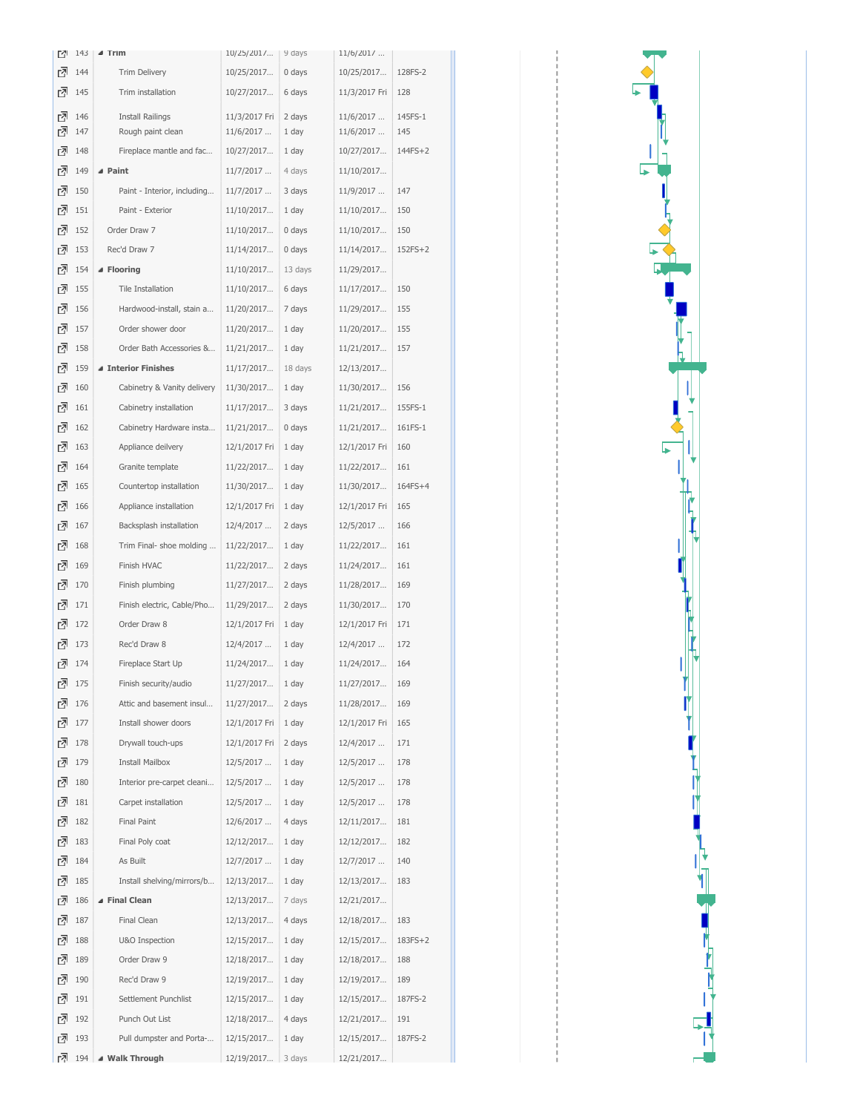| Ľ۱ | 143 | $\blacktriangle$ Trim       | 10/25/2017    | 9 days  | 11/6/2017     |           |
|----|-----|-----------------------------|---------------|---------|---------------|-----------|
| 고  | 144 | Trim Delivery               | 10/25/2017    | 0 days  | 10/25/2017    | 128FS-2   |
| 囨  | 145 | Trim installation           | 10/27/2017    | 6 days  | 11/3/2017 Fri | 128       |
| 囨  | 146 | <b>Install Railings</b>     | 11/3/2017 Fri | 2 days  | 11/6/2017     | 145FS-1   |
| 囨  | 147 | Rough paint clean           | 11/6/2017     | 1 day   | 11/6/2017     | 145       |
| 羽  | 148 | Fireplace mantle and fac    | 10/27/2017    | 1 day   | 10/27/2017    | 144FS+2   |
| 羽  | 149 | ⊿ Paint                     | 11/7/2017     | 4 days  | 11/10/2017    |           |
| rā | 150 | Paint - Interior, including | 11/7/2017     | 3 days  | 11/9/2017     | 147       |
| rā | 151 | Paint - Exterior            | 11/10/2017    | 1 day   | 11/10/2017    | 150       |
| rā | 152 | Order Draw 7                | 11/10/2017    | 0 days  | 11/10/2017    | 150       |
| 囨  | 153 | Rec'd Draw 7                | 11/14/2017    | 0 days  | 11/14/2017    | $152FS+2$ |
| rā | 154 | ▲ Flooring                  | 11/10/2017    | 13 days | 11/29/2017    |           |
| rā | 155 | Tile Installation           | 11/10/2017    | 6 days  | 11/17/2017    | 150       |
| 囨  | 156 | Hardwood-install, stain a   | 11/20/2017    | 7 days  | 11/29/2017    | 155       |
| 囨  | 157 | Order shower door           | 11/20/2017    | 1 day   | 11/20/2017    | 155       |
| rā | 158 | Order Bath Accessories &    | 11/21/2017    | 1 day   | 11/21/2017    | 157       |
| 고  | 159 | ▲ Interior Finishes         | 11/17/2017    | 18 days | 12/13/2017    |           |
| ᠗  | 160 | Cabinetry & Vanity delivery | 11/30/2017    | 1 day   | 11/30/2017    | 156       |
| rā | 161 | Cabinetry installation      | 11/17/2017    | 3 days  | 11/21/2017    | 155FS-1   |
| 고  | 162 | Cabinetry Hardware insta    | 11/21/2017    | 0 days  | 11/21/2017    | 161FS-1   |
| 囨  | 163 | Appliance deilvery          | 12/1/2017 Fri | 1 day   | 12/1/2017 Fri | 160       |
| 囨  | 164 | Granite template            | 11/22/2017    | 1 day   | 11/22/2017    | 161       |
| 囨  | 165 | Countertop installation     | 11/30/2017    | 1 day   | 11/30/2017    | 164FS+4   |
| rā | 166 | Appliance installation      | 12/1/2017 Fri | 1 day   | 12/1/2017 Fri | 165       |
| 囨  | 167 | Backsplash installation     | 12/4/2017     | 2 days  | 12/5/2017     | 166       |
| ᠗  | 168 | Trim Final- shoe molding    | 11/22/2017    | 1 day   | 11/22/2017    | 161       |
| 囨  | 169 | Finish HVAC                 | 11/22/2017    | 2 days  | 11/24/2017    | 161       |
| 囨  | 170 | Finish plumbing             | 11/27/2017    | 2 days  | 11/28/2017    | 169       |
| ᠗  | 171 | Finish electric, Cable/Pho  | 11/29/2017    | 2 days  | 11/30/2017    | 170       |
| 囨  | 172 | Order Draw 8                | 12/1/2017 Fri | 1 day   | 12/1/2017 Fri | 171       |
| ᠗  | 173 | Rec'd Draw 8                | 12/4/2017     | 1 day   | 12/4/2017     | 172       |
| 囨  | 174 | Fireplace Start Up          | 11/24/2017    | 1 day   | 11/24/2017    | 164       |
| ݳ  | 175 | Finish security/audio       | 11/27/2017    | 1 day   | 11/27/2017    | 169       |
| Ø  | 176 | Attic and basement insul    | 11/27/2017    | 2 days  | 11/28/2017    | 169       |
| 囨  | 177 | Install shower doors        | 12/1/2017 Fri | 1 day   | 12/1/2017 Fri | 165       |
| 囨  | 178 | Drywall touch-ups           | 12/1/2017 Fri | 2 days  | 12/4/2017     | 171       |
| 囨  | 179 | <b>Install Mailbox</b>      | 12/5/2017     | 1 day   | 12/5/2017     | 178       |
| ᠗  | 180 | Interior pre-carpet cleani  | 12/5/2017     | 1 day   | 12/5/2017     | 178       |
| 囨  | 181 | Carpet installation         | 12/5/2017     | 1 day   | 12/5/2017     | 178       |
| 囨  | 182 | Final Paint                 | 12/6/2017     | 4 days  | 12/11/2017    | 181       |
| rā | 183 | Final Poly coat             | 12/12/2017    | 1 day   | 12/12/2017    | 182       |
| 囨  | 184 | As Built                    | 12/7/2017     | 1 day   | 12/7/2017     | 140       |
| Ø  | 185 | Install shelving/mirrors/b  | 12/13/2017    | 1 day   | 12/13/2017    | 183       |
| ᠗  | 186 | ▲ Final Clean               | 12/13/2017    | 7 days  | 12/21/2017    |           |
| 囨  | 187 | Final Clean                 | 12/13/2017    | 4 days  | 12/18/2017    | 183       |
| 囨  | 188 | U&O Inspection              | 12/15/2017    | 1 day   | 12/15/2017    | 183FS+2   |
| ᠗  | 189 | Order Draw 9                | 12/18/2017    | 1 day   | 12/18/2017    | 188       |
| 고  | 190 | Rec'd Draw 9                | 12/19/2017    | 1 day   | 12/19/2017    | 189       |
| 囨  | 191 | Settlement Punchlist        | 12/15/2017    | 1 day   | 12/15/2017    | 187FS-2   |
| rā | 192 | Punch Out List              | 12/18/2017    | 4 days  | 12/21/2017    | 191       |
| 囨  | 193 | Pull dumpster and Porta-    | 12/15/2017    | 1 day   | 12/15/2017    | 187FS-2   |
| Ø  | 194 | ▲ Walk Through              | 12/19/2017    | 3 days  | 12/21/2017    |           |